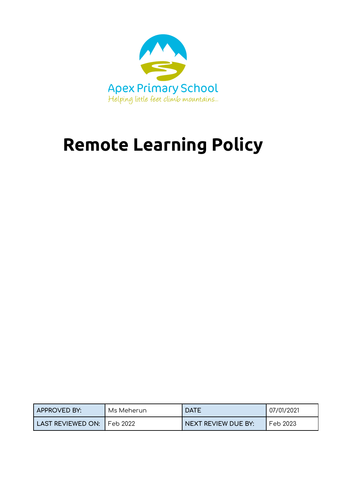

# **Remote Learning Policy**

| <b>APPROVED BY:</b>            | Ms Meherun | <b>DATE</b>         | 07/01/2021 |
|--------------------------------|------------|---------------------|------------|
| l LAST REVIEWED ON: 1 Feb 2022 |            | NEXT REVIEW DUE BY: | Feb 2023   |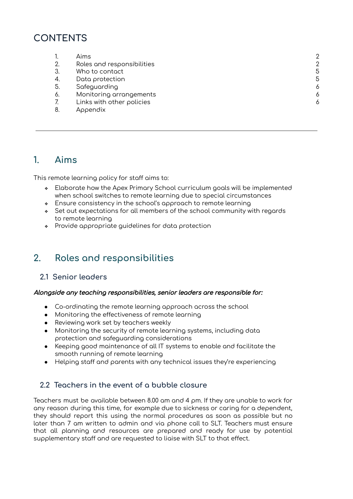## **CONTENTS**

|     | Aims                       | $\mathcal{P}$ |
|-----|----------------------------|---------------|
| 2.  | Roles and responsibilities | 2             |
| 3   | Who to contact             | 5             |
| -4. | Data protection            | 5             |
| 5.  | Safeguarding               | 6             |
| 6.  | Monitoring arrangements    | 6             |
|     | Links with other policies  | 6             |
|     | Annendix                   |               |

8. Appendix

## <span id="page-1-0"></span>**1. Aims**

This remote learning policy for staff aims to:

- ❖ Elaborate how the Apex Primary School curriculum goals will be implemented when school switches to remote learning due to special circumstances
- ❖ Ensure consistency in the school's approach to remote learning
- ❖ Set out expectations for all members of the school community with regards to remote learning
- ❖ Provide appropriate guidelines for data protection

## <span id="page-1-1"></span>**2. Roles and responsibilities**

#### **2.1 Senior leaders**

#### Alongside any teaching responsibilities, senior leaders are responsible for:

- Co-ordinating the remote learning approach across the school
- Monitoring the effectiveness of remote learning
- Reviewing work set by teachers weekly
- Monitoring the security of remote learning systems, including data protection and safeguarding considerations
- Keeping good maintenance of all IT systems to enable and facilitate the smooth running of remote learning
- Helping staff and parents with any technical issues they're experiencing

#### **2.2 Teachers in the event of a bubble closure**

Teachers must be available between 8.00 am and 4 pm. If they are unable to work for any reason during this time, for example due to sickness or caring for a dependent, they should report this using the normal procedures as soon as possible but no later than 7 am written to admin and via phone call to SLT. Teachers must ensure that all planning and resources are prepared and ready for use by potential supplementary staff and are requested to liaise with SLT to that effect.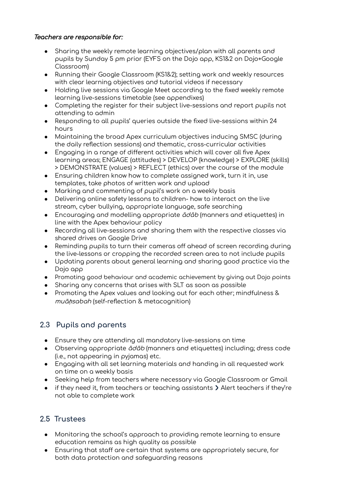#### Teachers are responsible for:

- Sharing the weekly remote learning objectives/plan with all parents and pupils by Sunday 5 pm prior (EYFS on the Dojo app, KS1&2 on Dojo+Google Classroom)
- Running their Google Classroom (KS1&2); setting work and weekly resources with clear learning objectives and tutorial videos if necessary
- Holding live sessions via Google Meet according to the fixed weekly remote learning live-sessions timetable (see appendixes)
- Completing the register for their subject live-sessions and report pupils not attending to admin
- Responding to all pupils' queries outside the fixed live-sessions within 24 hours
- Maintaining the broad Apex curriculum objectives inducing SMSC (during the daily reflection sessions) and thematic, cross-curricular activities
- Engaging in a range of different activities which will cover all five Apex learning areas; ENGAGE (attitudes) > DEVELOP (knowledge) > EXPLORE (skills) > DEMONSTRATE (values) > REFLECT (ethics) over the course of the module
- Ensuring children know how to complete assigned work, turn it in, use templates, take photos of written work and upload
- Marking and commenting of pupil's work on a weekly basis
- Delivering online safety lessons to children- how to interact on the live stream, cyber bullying, appropriate language, safe searching
- $\bullet$  Encouraging and modelling appropriate  $\bar{o}d\bar{o}b$  (manners and etiquettes) in line with the Apex behaviour policy
- Recording all live-sessions and sharing them with the respective classes via shared drives on Google Drive
- Reminding pupils to turn their cameras off ahead of screen recording during the live-lessons or cropping the recorded screen area to not include pupils
- Updating parents about general learning and sharing good practice via the Dojo app
- Promoting good behaviour and academic achievement by giving out Dojo points
- Sharing any concerns that arises with SLT as soon as possible
- Promoting the Apex values and looking out for each other; mindfulness & muā*ḥ*sabah (self-reflection & metacognition)

### **2.3 Pupils and parents**

- Ensure they are attending all mandatory live-sessions on time
- Observing appropriate  $\bar{a}d\bar{a}b$  (manners and etiquettes) including; dress code (i.e., not appearing in pyjamas) etc.
- Engaging with all set learning materials and handing in all requested work on time on a weekly basis
- Seeking help from teachers where necessary via Google Classroom or Gmail
- $\bullet$  if they need it, from teachers or teaching assistants  $\triangleright$  Alert teachers if they're not able to complete work

#### **2.5 Trustees**

- Monitoring the school's approach to providing remote learning to ensure education remains as high quality as possible
- Ensuring that staff are certain that systems are appropriately secure, for both data protection and safeguarding reasons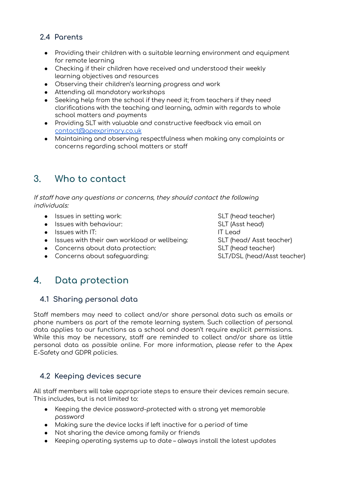## **2.4 Parents**

- Providing their children with a suitable learning environment and equipment for remote learning
- Checking if their children have received and understood their weekly learning objectives and resources
- Observing their children's learning progress and work
- Attending all mandatory workshops
- Seeking help from the school if they need it; from teachers if they need clarifications with the teaching and learning, admin with regards to whole school matters and payments
- Providing SLT with valuable and constructive feedback via email on [contact@apexprimary.co.uk](mailto:contact@apexprimary.co.uk)
- Maintaining and observing respectfulness when making any complaints or concerns regarding school matters or staff

## <span id="page-3-0"></span>**3. Who to contact**

If staff have any questions or concerns, they should contact the following individuals:

- Issues in setting work: SLT (head teacher)
- Issues with behaviour: SLT (Asst head)
- $\bullet$  Issues with IT:  $\bullet$  IT Lead
- Issues with their own workload or wellbeing: SLT (head/ Asst teacher)
- Concerns about data protection: SLT (head teacher)
- Concerns about safeguarding: SLT/DSL (head/Asst teacher)

## <span id="page-3-1"></span>**4. Data protection**

#### **4.1 Sharing personal data**

Staff members may need to collect and/or share personal data such as emails or phone numbers as part of the remote learning system. Such collection of personal data applies to our functions as a school and doesn't require explicit permissions. While this may be necessary, staff are reminded to collect and/or share as little personal data as possible online. For more information, please refer to the Apex E-Safety and GDPR policies.

### **4.2 Keeping devices secure**

All staff members will take appropriate steps to ensure their devices remain secure. This includes, but is not limited to:

- Keeping the device password-protected with a strong yet memorable password
- Making sure the device locks if left inactive for a period of time
- Not sharing the device among family or friends
- Keeping operating systems up to date always install the latest updates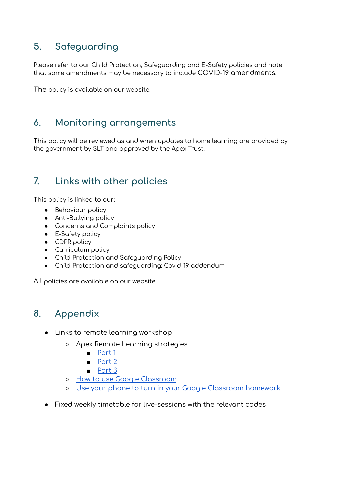## <span id="page-4-0"></span>**5. Safeguarding**

Please refer to our Child Protection, Safeguarding and E-Safety policies and note that some amendments may be necessary to include COVID-19 amendments.

The policy is available on our website.

## <span id="page-4-1"></span>**6. Monitoring arrangements**

This policy will be reviewed as and when updates to home learning are provided by the government by SLT and approved by the Apex Trust.

## <span id="page-4-2"></span>**7. Links with other policies**

This policy is linked to our:

- Behaviour policy
- Anti-Bullying policy
- Concerns and Complaints policy
- E-Safety policy
- GDPR policy
- Curriculum policy
- Child Protection and Safeguarding Policy
- Child Protection and safeguarding: Covid-19 addendum

All policies are available on our website.

## **8. Appendix**

- Links to remote learning workshop
	- Apex Remote Learning strategies
		- [Part](https://www.youtube.com/watch?v=VQ6JAsIUkwQ) 1
		- [Part](https://www.youtube.com/watch?v=FvTeevu0SyA) 2
		- [Part](https://www.youtube.com/watch?v=HymTArsBFIU) 3
	- How to use Google [Classroom](https://www.youtube.com/watch?v=88idNZxeZbo)
	- Use your phone to turn in your Google [Classroom](https://www.youtube.com/watch?v=fCIWMZDhRik&feature=youtu.be) homework
- **●** Fixed weekly timetable for live-sessions with the relevant codes